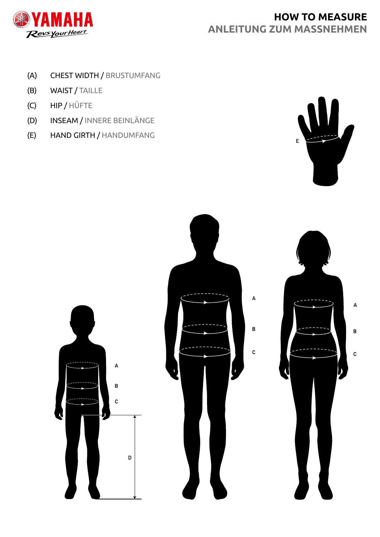

# **HOW TO MEASURE ANLEITUNG ZUM MASSNEHMEN**

- (A) CHEST WIDTH / BRUSTUMFANG
- (B) WAIST / TAILLE
- (C) HIP / HÜFTE
- (D) INSEAM / INNERE BEINLÄNGE
- (E) HAND GIRTH / HANDUMFANG



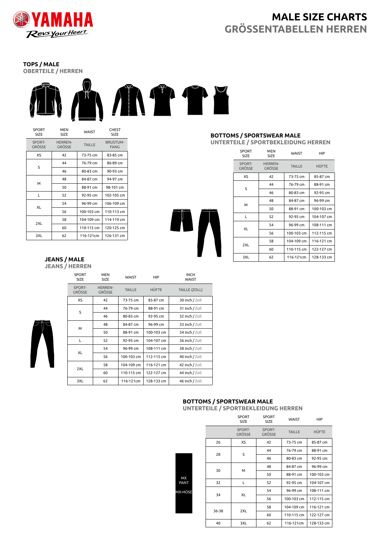

# **MALE SIZE CHARTS GRÖSSENTABELLEN HERREN**

**TOPS / MALE OBERTEILE / HERREN**



| SPORT<br>SIZE    | <b>MEN</b><br>SIZE       | WAIST         | <b>CHEST</b><br>SIZE           |
|------------------|--------------------------|---------------|--------------------------------|
| SPORT-<br>GRÖSSE | <b>HERREN-</b><br>GRÖSSE | <b>TAILLE</b> | <b>BRUSTUM-</b><br><b>FANG</b> |
| XS               | 42                       | 73-75 cm      | 83-85 cm                       |
| S                | 44                       | 76-79 cm      | 86-89 cm                       |
|                  | 46                       | 80-83 cm      | 90-93 cm                       |
| м                | 48                       | 84-87 cm      | 94-97 cm                       |
|                  | 50                       | 88-91 cm      | 98-101 cm                      |
| L                | 52                       | 92-95 cm      | 102-105 cm                     |
| XL               | 54                       | 96-99 cm      | 106-109 cm                     |
|                  | 56                       | 100-103 cm    | 110-113 cm                     |
|                  | 58                       | 104-109 cm    | 114-119 cm                     |
| 2XL              | 60                       | 110-115 cm    | 120-125 cm                     |
| 3XL              | 62                       | 116-121cm     | 126-131 cm                     |

#### **JEANS / MALE JEANS / HERREN**

|  | <b>SPORT</b><br><b>SIZE</b> | <b>MEN</b><br><b>SIZE</b>       | WAIST         | <b>HIP</b>   | <b>INCH</b><br><b>WAIST</b> |
|--|-----------------------------|---------------------------------|---------------|--------------|-----------------------------|
|  | SPORT-<br>GRÖSSE            | <b>HERREN-</b><br><b>GRÖSSE</b> | <b>TAILLE</b> | <b>HÜFTE</b> | <b>TAILLE (ZOLL)</b>        |
|  | XS                          | 42                              | 73-75 cm      | 85-87 cm     | 30 inch / Zoll              |
|  | S                           | 44                              | 76-79 cm      | 88-91 cm     | 31 inch / Zoll              |
|  |                             | 46                              | 80-83 cm      | 92-95 cm     | 32 inch / Zoll              |
|  | м                           | 48                              | 84-87 cm      | 96-99 cm     | 33 inch / Zoll              |
|  |                             | 50                              | 88-91 cm      | 100-103 cm   | 34 inch / Zoll              |
|  | L                           | 52                              | 92-95 cm      | 104-107 cm   | 36 inch / Zoll              |
|  | XL                          | 54                              | 96-99 cm      | 108-111 cm   | 38 inch / Zoll              |
|  |                             | 56                              | 100-103 cm    | 112-115 cm   | 40 inch / Zoll              |
|  |                             | 58                              | 104-109 cm    | 116-121 cm   | 42 inch / Zoll              |
|  | 2XL                         | 60                              | 110-115 cm    | 122-127 cm   | 44 inch / Zoll              |
|  | 3XL                         | 62                              | 116-121cm     | 128-133 cm   | 46 inch / Zoll              |

#### **BOTTOMS / SPORTSWEAR MALE UNTERTEILE / SPORTBEKLEIDUNG HERREN**

| <b>SPORT</b><br>SIZE | <b>MEN</b><br>SIZE       | WAIST         | HIP        |
|----------------------|--------------------------|---------------|------------|
| SPORT-<br>GRÖSSE     | <b>HERREN-</b><br>GRÖSSE | <b>TAILLE</b> | HÜFTE      |
| XS                   | 42                       | 73-75 cm      | 85-87 cm   |
| S                    | 44                       | 76-79 cm      | 88-91 cm   |
|                      | 46                       | 80-83 cm      | 92-95 cm   |
| M                    | 48                       | 84-87 cm      | 96-99 cm   |
|                      | 50                       | 88-91 cm      | 100-103 cm |
| Г                    | 52                       | 92-95 cm      | 104-107 cm |
|                      | 54                       | 96-99 cm      | 108-111 cm |
| XL                   | 56                       | 100-103 cm    | 112-115 cm |
|                      | 58                       | 104-109 cm    | 116-121 cm |
| 2XL                  | 60                       | 110-115 cm    | 122-127 cm |
| 3XL                  | 62                       | 116-121cm     | 128-133 cm |

## **BOTTOMS / SPORTSWEAR MALE**

**UNTERTEILE / SPORTBEKLEIDUNG HERREN**

|  |         | <b>SPORT</b><br><b>SIZE</b> | <b>SPORT</b><br><b>SIZE</b> | WAIST         | <b>HIP</b>   |
|--|---------|-----------------------------|-----------------------------|---------------|--------------|
|  |         | SPORT-<br><b>GRÖSSE</b>     | SPORT-<br><b>GRÖSSE</b>     | <b>TAILLE</b> | <b>HÜFTE</b> |
|  | 26      | XS                          | 42                          | 73-75 cm      | 85-87 cm     |
|  | 28      | S                           | 44                          | 76-79 cm      | 88-91 cm     |
|  |         |                             | 46                          | 80-83 cm      | 92-95 cm     |
|  | 30<br>м |                             | 48                          | 84-87 cm      | 96-99 cm     |
|  |         |                             | 50                          | 88-91 cm      | 100-103 cm   |
|  | 32      | L                           | 52                          | 92-95 cm      | 104-107 cm   |
|  |         |                             | 54                          | 96-99 cm      | 108-111 cm   |
|  |         | 34<br>XL                    | 56                          | 100-103 cm    | 112-115 cm   |
|  | 36-38   |                             | 58                          | 104-109 cm    | 116-121 cm   |
|  |         | 2XL                         | 60                          | 110-115 cm    | 122-127 cm   |
|  | 40      | 3XL                         | 62                          | 116-121cm     | 128-133 cm   |

MX PANT MX-HOSE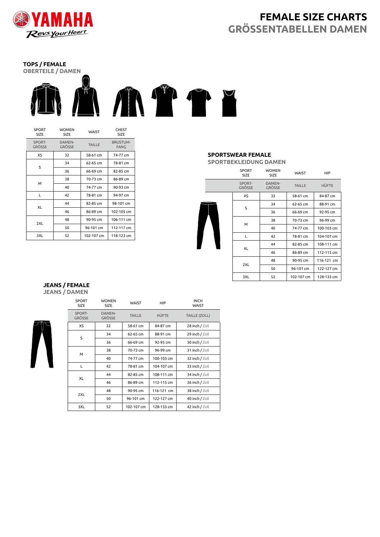

# **FEMALE SIZE CHARTS GRÖSSENTABELLEN DAMEN**

# **TOPS / FEMALE**



| <b>SPORT</b><br><b>SIZE</b> | <b>WOMEN</b><br><b>SIZE</b> | WAIST         | <b>CHEST</b><br><b>SIZE</b>    |
|-----------------------------|-----------------------------|---------------|--------------------------------|
| SPORT-<br>GRÖSSE            | <b>DAMEN-</b><br>GRÖSSE     | <b>TAILLE</b> | <b>BRUSTUM-</b><br><b>FANG</b> |
| XS                          | 32                          | 58-61 cm      | 74-77 cm                       |
| S                           | 34                          | 62-65 cm      | 78-81 cm                       |
|                             | 36                          | 66-69 cm      | 82-85 cm                       |
|                             | 38                          | 70-73 cm      | 86-89 cm                       |
| м                           | 40                          | 74-77 cm      | 90-93 cm                       |
| L                           | 42                          | 78-81 cm      | 94-97 cm                       |
| XL                          | 44                          | 82-85 cm      | 98-101 cm                      |
|                             | 46                          | 86-89 cm      | 102-105 cm                     |
|                             | 48                          | 90-95 cm      | 106-111 cm                     |
| 2XL                         | 50                          | 96-101 cm     | 112-117 cm                     |
| 3XL                         | 52                          | 102-107 cm    | 118-123 cm                     |

## **SPORTSWEAR FEMALE**

**SPORTBEKLEIDUNG DAMEN**

|  | <b>SPORT</b><br><b>SIZE</b> | <b>WOMEN</b><br><b>SIZE</b> | <b>WAIST</b>  | <b>HIP</b>   |
|--|-----------------------------|-----------------------------|---------------|--------------|
|  | SPORT-<br><b>GRÖSSE</b>     | DAMEN-<br><b>GRÖSSE</b>     | <b>TAILLE</b> | <b>HÜFTE</b> |
|  | XS                          | 32                          | 58-61 cm      | 84-87 cm     |
|  | S                           | 34                          | 62-65 cm      | 88-91 cm     |
|  |                             | 36                          | 66-69 cm      | 92-95 cm     |
|  | M                           | 38                          | 70-73 cm      | 96-99 cm     |
|  |                             | 40                          | 74-77 cm      | 100-103 cm   |
|  | L                           | 42                          | 78-81 cm      | 104-107 cm   |
|  | XL                          | 44                          | 82-85 cm      | 108-111 cm   |
|  |                             | 46                          | 86-89 cm      | 112-115 cm   |
|  |                             | 48                          | 90-95 cm      | 116-121 cm   |
|  | 2XL                         | 50                          | 96-101 cm     | 122-127 cm   |
|  | 3XL                         | 52                          | 102-107 cm    | 128-133 cm   |

#### **JEANS / FEMALE JEANS / DAMEN**



| <b>SPORT</b><br>SIZE    | <b>WOMEN</b><br><b>SIZE</b> | <b>WAIST</b>  | <b>HIP</b>   | <b>INCH</b><br><b>WAIST</b> |
|-------------------------|-----------------------------|---------------|--------------|-----------------------------|
| SPORT-<br><b>GRÖSSE</b> | DAMEN-<br><b>GRÖSSE</b>     | <b>TAILLE</b> | <b>HÜFTE</b> | <b>TAILLE (ZOLL)</b>        |
| XS                      | 32                          | 58-61 cm      | 84-87 cm     | 28 inch / Zoll              |
| S                       | 34                          | 62-65 cm      | 88-91 cm     | 29 inch / Zoll              |
|                         | 36                          | 66-69 cm      | 92-95 cm     | 30 inch / Zoll              |
| М                       | 38                          | 70-73 cm      | 96-99 cm     | 31 inch / Zoll              |
|                         | 40                          | 74-77 cm      | 100-103 cm   | 32 inch / Zoll              |
| L                       | 42                          | 78-81 cm      | 104-107 cm   | 33 inch / Zoll              |
| XL                      | 44                          | 82-85 cm      | 108-111 cm   | 34 inch / Zoll              |
|                         | 46                          | 86-89 cm      | 112-115 cm   | 36 inch / Zoll              |
| 2XL                     | 48                          | 90-95 cm      | 116-121 cm   | 38 inch / Zoll              |
|                         | 50                          | 96-101 cm     | 122-127 cm   | 40 inch / Zoll              |
| 3XL                     | 52                          | 102-107 cm    | 128-133 cm   | 42 inch / Zoll              |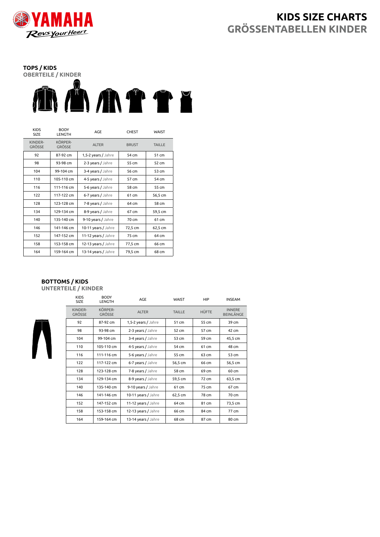

# **KIDS SIZE CHARTS GRÖSSENTABELLEN KINDER**

# **TOPS / KIDS** OBERTEILE / KINDER<br>**AN AN AN THE PERSON REPORTED**

| <b>KIDS</b><br><b>SIZE</b> | <b>BODY</b><br>LENGTH    | AGE                 | <b>CHEST</b> | <b>WAIST</b>  |
|----------------------------|--------------------------|---------------------|--------------|---------------|
| KINDER-<br><b>GRÖSSE</b>   | KÖRPER-<br><b>GRÖSSE</b> | <b>ALTER</b>        | <b>BRUST</b> | <b>TAILLE</b> |
| 92                         | 87-92 cm                 | 1,5-2 years / Jahre | 54 cm        | 51 cm         |
| 98                         | 93-98 cm                 | 2-3 years / Jahre   | 55 cm        | 52 cm         |
| 104                        | 99-104 cm                | 3-4 years / Jahre   | 56 cm        | 53 cm         |
| 110                        | 105-110 cm               | 4-5 years / Jahre   | 57 cm        | 54 cm         |
| 116                        | 111-116 cm               | 5-6 years / Jahre   | 58 cm        | 55 cm         |
| 122                        | 117-122 cm               | 6-7 years / Jahre   | 61 cm        | 56,5 cm       |
| 128                        | 123-128 cm               | 7-8 years / Jahre   | 64 cm        | 58 cm         |
| 134                        | 129-134 cm               | 8-9 years / Jahre   | 67 cm        | 59,5 cm       |
| 140                        | 135-140 cm               | 9-10 years / Jahre  | 70 cm        | 61 cm         |
| 146                        | 141-146 cm               | 10-11 years / Jahre | 72,5 cm      | 62,5 cm       |
| 152                        | 147-152 cm               | 11-12 years / Jahre | 75 cm        | 64 cm         |
| 158                        | 153-158 cm               | 12-13 years / Jahre | 77,5 cm      | 66 cm         |
| 164                        | 159-164 cm               | 13-14 years / Jahre | 79,5 cm      | 68 cm         |

#### **BOTTOMS / KIDS UNTERTEILE / KINDER**

| <b>KIDS</b><br><b>SIZE</b> | <b>BODY</b><br><b>LENGTH</b> | AGE                 | <b>WAIST</b>  | HIP   | <b>INSEAM</b>                     |
|----------------------------|------------------------------|---------------------|---------------|-------|-----------------------------------|
| KINDER-<br><b>GRÖSSE</b>   | KÖRPER-<br><b>GRÖSSE</b>     | <b>ALTER</b>        | <b>TAILLE</b> | HÜFTE | <b>INNERE</b><br><b>BEINLÄNGE</b> |
| 92                         | 87-92 cm                     | 1,5-2 years / Jahre | 51 cm         | 55 cm | 39 cm                             |
| 98                         | 93-98 cm                     | 2-3 years / Jahre   | 52 cm         | 57 cm | 42 cm                             |
| 104                        | 99-104 cm                    | 3-4 years / Jahre   | 53 cm         | 59 cm | 45,5 cm                           |
| 110                        | 105-110 cm                   | 4-5 years / Jahre   | 54 cm         | 61 cm | 48 cm                             |
| 116                        | 111-116 cm                   | 5-6 years / Jahre   | 55 cm         | 63 cm | 53 cm                             |
| 122                        | 117-122 cm                   | 6-7 years / Jahre   | 56,5 cm       | 66 cm | 56,5 cm                           |
| 128                        | 123-128 cm                   | 7-8 years / Jahre   | 58 cm         | 69 cm | 60 cm                             |
| 134                        | 129-134 cm                   | 8-9 years / Jahre   | 59,5 cm       | 72 cm | 63,5 cm                           |
| 140                        | 135-140 cm                   | 9-10 years / Jahre  | 61 cm         | 75 cm | 67 cm                             |
| 146                        | 141-146 cm                   | 10-11 years / Jahre | 62,5 cm       | 78 cm | 70 cm                             |
| 152                        | 147-152 cm                   | 11-12 years / Jahre | 64 cm         | 81 cm | 73,5 cm                           |
| 158                        | 153-158 cm                   | 12-13 years / Jahre | 66 cm         | 84 cm | 77 cm                             |
| 164                        | 159-164 cm                   | 13-14 years / Jahre | 68 cm         | 87 cm | 80 cm                             |